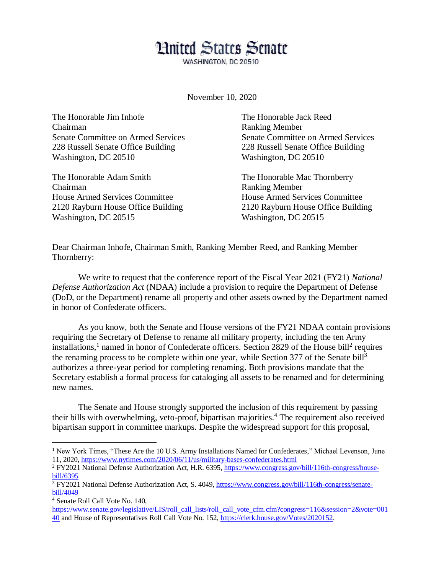## **Hnited States Senate**

WASHINGTON, DC 20510

November 10, 2020

The Honorable Jim Inhofe The Honorable Jack Reed Chairman Ranking Member Senate Committee on Armed Services Senate Committee on Armed Services 228 Russell Senate Office Building 228 Russell Senate Office Building Washington, DC 20510 Washington, DC 20510

The Honorable Adam Smith The Honorable Mac Thornberry Chairman Ranking Member House Armed Services Committee House Armed Services Committee 2120 Rayburn House Office Building 2120 Rayburn House Office Building Washington, DC 20515 Washington, DC 20515

Dear Chairman Inhofe, Chairman Smith, Ranking Member Reed, and Ranking Member Thornberry:

We write to request that the conference report of the Fiscal Year 2021 (FY21) *National Defense Authorization Act* (NDAA) include a provision to require the Department of Defense (DoD, or the Department) rename all property and other assets owned by the Department named in honor of Confederate officers.

As you know, both the Senate and House versions of the FY21 NDAA contain provisions requiring the Secretary of Defense to rename all military property, including the ten Army installations,<sup>1</sup> named in honor of Confederate officers. Section 2829 of the House bill<sup>2</sup> requires the renaming process to be complete within one year, while Section 377 of the Senate bill<sup>3</sup> authorizes a three-year period for completing renaming. Both provisions mandate that the Secretary establish a formal process for cataloging all assets to be renamed and for determining new names.

The Senate and House strongly supported the inclusion of this requirement by passing their bills with overwhelming, veto-proof, bipartisan majorities.<sup>4</sup> The requirement also received bipartisan support in committee markups. Despite the widespread support for this proposal,

 $\overline{a}$ 

<sup>&</sup>lt;sup>1</sup> New York Times, "These Are the 10 U.S. Army Installations Named for Confederates," Michael Levenson, June 11, 2020,<https://www.nytimes.com/2020/06/11/us/military-bases-confederates.html>

<sup>2</sup> FY2021 National Defense Authorization Act, H.R. 6395, [https://www.congress.gov/bill/116th-congress/house](https://www.congress.gov/bill/116th-congress/house-bill/6395)[bill/6395](https://www.congress.gov/bill/116th-congress/house-bill/6395)

<sup>3</sup> FY2021 National Defense Authorization Act, S. 4049, [https://www.congress.gov/bill/116th-congress/senate](https://www.congress.gov/bill/116th-congress/senate-bill/4049)[bill/4049](https://www.congress.gov/bill/116th-congress/senate-bill/4049)

<sup>4</sup> Senate Roll Call Vote No. 140,

[https://www.senate.gov/legislative/LIS/roll\\_call\\_lists/roll\\_call\\_vote\\_cfm.cfm?congress=116&session=2&vote=001](https://www.senate.gov/legislative/LIS/roll_call_lists/roll_call_vote_cfm.cfm?congress=116&session=2&vote=00140) [40](https://www.senate.gov/legislative/LIS/roll_call_lists/roll_call_vote_cfm.cfm?congress=116&session=2&vote=00140) and House of Representatives Roll Call Vote No. 152, [https://clerk.house.gov/Votes/2020152.](https://clerk.house.gov/Votes/2020152)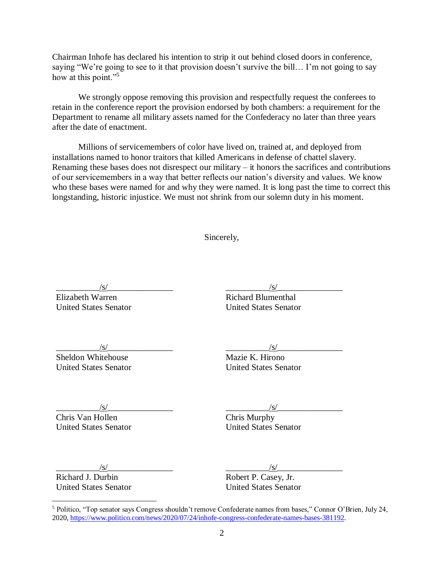Chairman Inhofe has declared his intention to strip it out behind closed doors in conference, saying "We're going to see to it that provision doesn't survive the bill... I'm not going to say how at this point."<sup>5</sup>

We strongly oppose removing this provision and respectfully request the conferees to retain in the conference report the provision endorsed by both chambers: a requirement for the Department to rename all military assets named for the Confederacy no later than three years after the date of enactment.

Millions of servicemembers of color have lived on, trained at, and deployed from installations named to honor traitors that killed Americans in defense of chattel slavery. Renaming these bases does not disrespect our military – it honors the sacrifices and contributions of our servicemembers in a way that better reflects our nation's diversity and values. We know who these bases were named for and why they were named. It is long past the time to correct this longstanding, historic injustice. We must not shrink from our solemn duty in his moment.

Sincerely,

 $/\mathrm{s}/\mathrm{s}$ 

Elizabeth Warren United States Senator Richard Blumenthal

United States Senator

 $\frac{|S|}{|S|}$ 

 $/\mathbf{s}/$ 

Sheldon Whitehouse United States Senator  $/\mathrm{s}/$ 

Mazie K. Hirono United States Senator

 $/\mathrm{s}/\mathrm{s}$ 

Chris Van Hollen United States Senator  $\sqrt{s}$ /

Chris Murphy United States Senator

 $\sqrt{s/2}$ 

Richard J. Durbin United States Senator

 $\overline{a}$ 

 $/s/$ 

Robert P. Casey, Jr. United States Senator

<sup>5</sup> Politico, "Top senator says Congress shouldn't remove Confederate names from bases," Connor O'Brien, July 24, 2020, [https://www.politico.com/news/2020/07/24/inhofe-congress-confederate-names-bases-381192.](https://www.politico.com/news/2020/07/24/inhofe-congress-confederate-names-bases-381192)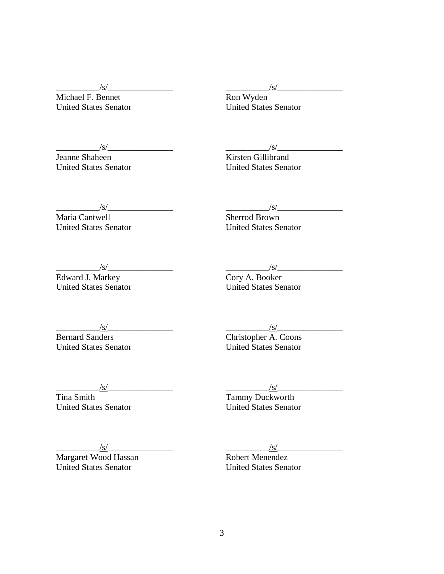$\sqrt{s/2}$ 

Michael F. Bennet United States Senator

 $\sqrt{s/2}$ 

Jeanne Shaheen United States Senator  $\sqrt{s/2}$ 

Ron Wyden United States Senator

 $\frac{|s|}{s}$ 

Kirsten Gillibrand United States Senator

 $\sqrt{s/2}$ 

 $\frac{1}{s}$ 

Maria Cantwell United States Senator

 $\sqrt{s/2}$ 

Sherrod Brown

Edward J. Markey United States Senator

 $\sqrt{s/2}$ 

Cory A. Booker United States Senator

United States Senator

 $\sqrt{s/2}$ Bernard Sanders United States Senator

 $\sqrt{s/2}$ 

Christopher A. Coons United States Senator

 $\frac{1}{s}$ 

Tina Smith United States Senator  $\sqrt{s/2}$ 

Tammy Duckworth United States Senator

 $\sqrt{s/2}$ 

Margaret Wood Hassan United States Senator

 $\sqrt{s/2}$ 

Robert Menendez United States Senator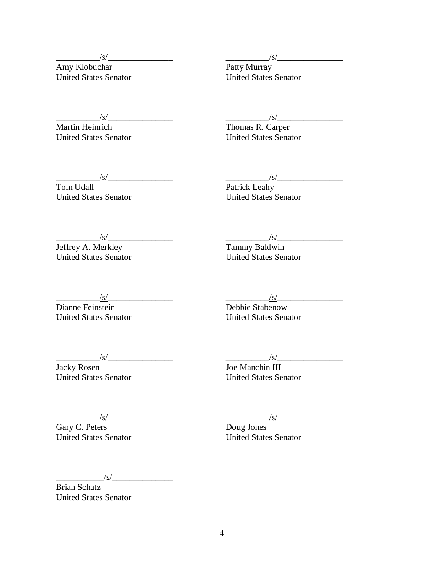$\sqrt{s/2}$ 

Amy Klobuchar United States Senator  $\sqrt{s/2}$ 

Patty Murray United States Senator

 $\frac{1}{s}$ 

Martin Heinrich United States Senator

 $\sqrt{s/2}$ 

Tom Udall United States Senator  $\frac{1}{s}$ 

Thomas R. Carper United States Senator

 $\sqrt{s/2}$ 

Patrick Leahy United States Senator

 $\sqrt{s/2}$ 

Jeffrey A. Merkley United States Senator

 $\sqrt{s/2}$ 

Dianne Feinstein United States Senator

 $\sqrt{s/2}$ 

Tammy Baldwin United States Senator

 $\sqrt{s/2}$ 

Debbie Stabenow United States Senator

 $\sqrt{s/2}$ 

Jacky Rosen United States Senator  $\sqrt{s/2}$ 

Joe Manchin III United States Senator

 $\sqrt{s/2}$ 

Gary C. Peters United States Senator  $\sqrt{s/2}$ 

Doug Jones United States Senator

 $\sqrt{s/2}$ 

Brian Schatz United States Senator